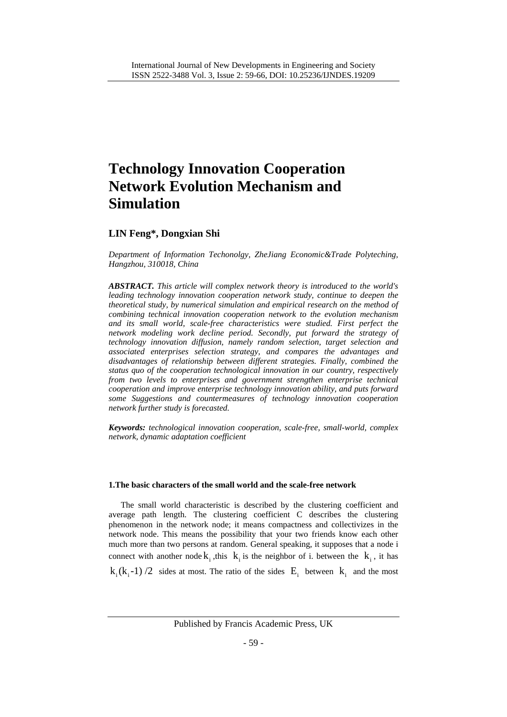# **Technology Innovation Cooperation Network Evolution Mechanism and Simulation**

# **LIN Feng\*, Dongxian Shi**

*Department of Information Techonolgy, ZheJiang Economic&Trade Polyteching, Hangzhou, 310018, China*

*ABSTRACT. This article will complex network theory is introduced to the world's leading technology innovation cooperation network study, continue to deepen the theoretical study, by numerical simulation and empirical research on the method of combining technical innovation cooperation network to the evolution mechanism and its small world, scale-free characteristics were studied. First perfect the network modeling work decline period. Secondly, put forward the strategy of technology innovation diffusion, namely random selection, target selection and associated enterprises selection strategy, and compares the advantages and disadvantages of relationship between different strategies. Finally, combined the status quo of the cooperation technological innovation in our country, respectively from two levels to enterprises and government strengthen enterprise technical cooperation and improve enterprise technology innovation ability, and puts forward some Suggestions and countermeasures of technology innovation cooperation network further study is forecasted.*

*Keywords: technological innovation cooperation, scale-free, small-world, complex network, dynamic adaptation coefficient*

## **1.The basic characters of the small world and the scale-free network**

The small world characteristic is described by the clustering coefficient and average path length. The clustering coefficient C describes the clustering phenomenon in the network node; it means compactness and collectivizes in the network node. This means the possibility that your two friends know each other much more than two persons at random. General speaking, it supposes that a node i connect with another node  $k_i$ , this  $k_i$  is the neighbor of i. between the  $k_i$ , it has  $k_i (k_i - 1) / 2$  sides at most. The ratio of the sides  $E_i$  between  $k_i$  and the most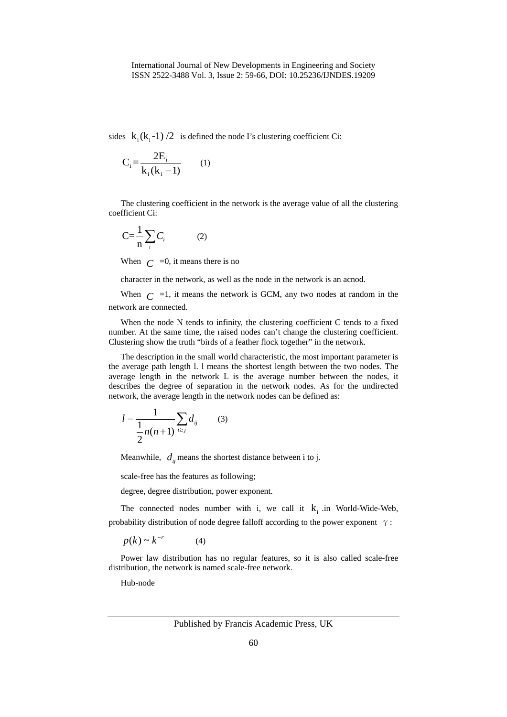sides  $k_i (k_i -1) /2$  is defined the node I's clustering coefficient Ci:

$$
C_i = \frac{2E_i}{k_i(k_i - 1)}
$$
 (1)

The clustering coefficient in the network is the average value of all the clustering coefficient Ci:

$$
C = \frac{1}{n} \sum_{i} C_i \tag{2}
$$

When  $C = 0$ , it means there is no

character in the network, as well as the node in the network is an acnod.

When  $C = 1$ , it means the network is GCM, any two nodes at random in the network are connected.

When the node N tends to infinity, the clustering coefficient C tends to a fixed number. At the same time, the raised nodes can't change the clustering coefficient. Clustering show the truth "birds of a feather flock together" in the network.

The description in the small world characteristic, the most important parameter is the average path length l. l means the shortest length between the two nodes. The average length in the network L is the average number between the nodes, it describes the degree of separation in the network nodes. As for the undirected network, the average length in the network nodes can be defined as:

$$
l = \frac{1}{\frac{1}{2}n(n+1)} \sum_{i \ge j} d_{ij} \qquad (3)
$$

Meanwhile,  $d_{ij}$  means the shortest distance between i to j.

scale-free has the features as following;

degree, degree distribution, power exponent.

The connected nodes number with i, we call it  $k_i$  in World-Wide-Web, probability distribution of node degree falloff according to the power exponent  $\gamma$ :

$$
p(k) \sim k^{-r} \tag{4}
$$

Power law distribution has no regular features, so it is also called scale-free distribution, the network is named scale-free network.

Hub-node

Published by Francis Academic Press, UK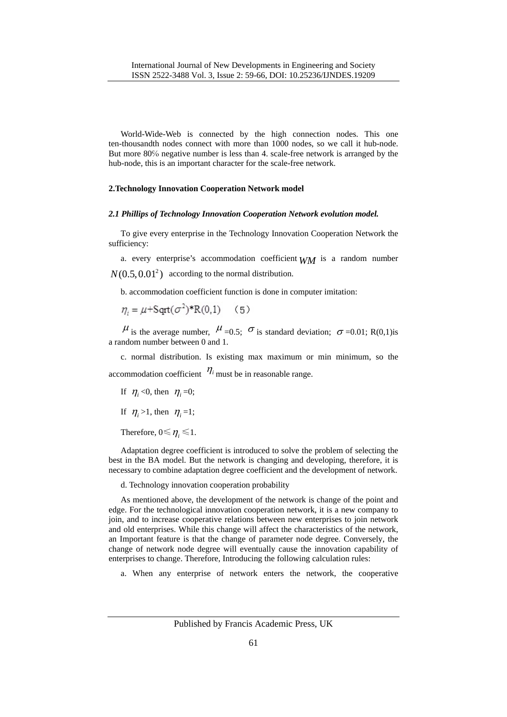World-Wide-Web is connected by the high connection nodes. This one ten-thousandth nodes connect with more than 1000 nodes, so we call it hub-node. But more 80℅ negative number is less than 4. scale-free network is arranged by the hub-node, this is an important character for the scale-free network.

#### **2.Technology Innovation Cooperation Network model**

#### *2.1 Phillips of Technology Innovation Cooperation Network evolution model.*

To give every enterprise in the Technology Innovation Cooperation Network the sufficiency:

a. every enterprise's accommodation coefficient *WM* is a random number  $N(0.5, 0.01<sup>2</sup>)$  according to the normal distribution.

b. accommodation coefficient function is done in computer imitation:

$$
\eta_i = \mu + \text{Sqrt}(\sigma^2)^* R(0,1) \quad (5)
$$

 $\mu$  is the average number,  $\mu$  =0.5;  $\sigma$  is standard deviation;  $\sigma$  =0.01; R(0,1)is a random number between 0 and 1.

c. normal distribution. Is existing max maximum or min minimum, so the accommodation coefficient  $\eta$ <sup>*i*</sup> must be in reasonable range.

If  $\eta_i < 0$ , then  $\eta_i = 0$ ;

If  $\eta_i > 1$ , then  $\eta_i = 1$ ;

Therefore,  $0 \le \eta_i \le 1$ .

Adaptation degree coefficient is introduced to solve the problem of selecting the best in the BA model. But the network is changing and developing, therefore, it is necessary to combine adaptation degree coefficient and the development of network.

d. Technology innovation cooperation probability

As mentioned above, the development of the network is change of the point and edge. For the technological innovation cooperation network, it is a new company to join, and to increase cooperative relations between new enterprises to join network and old enterprises. While this change will affect the characteristics of the network, an Important feature is that the change of parameter node degree. Conversely, the change of network node degree will eventually cause the innovation capability of enterprises to change. Therefore, Introducing the following calculation rules:

a. When any enterprise of network enters the network, the cooperative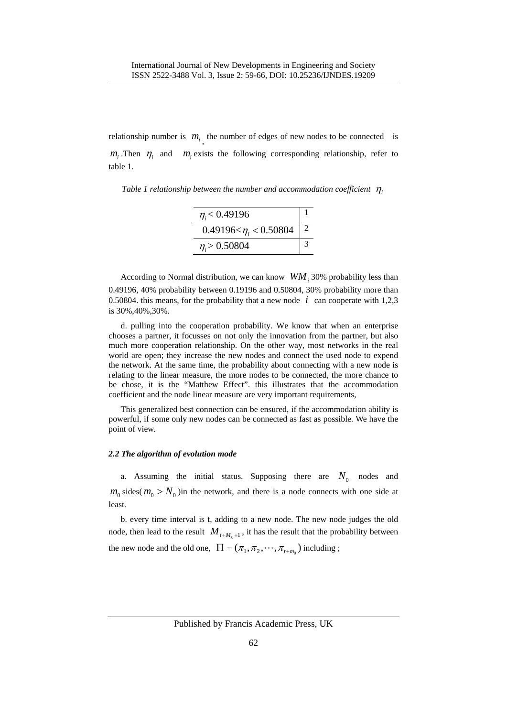relationship number is  $m_i$ , the number of edges of new nodes to be connected is  $m_i$ . Then  $\eta_i$  and  $m_i$  exists the following corresponding relationship, refer to table 1.

*Table 1 relationship between the number and accommodation coefficient*  $\eta_i$ 

| $\eta_i$ < 0.49196                      |  |
|-----------------------------------------|--|
| 0.49196 $\lteta$ $\eta_i$ $\lt$ 0.50804 |  |
| $\eta > 0.50804$                        |  |

According to Normal distribution, we can know  $WM_i$  30% probability less than 0.49196, 40% probability between 0.19196 and 0.50804, 30% probability more than 0.50804. this means, for the probability that a new node  $i$  can cooperate with 1,2,3 is 30%,40%,30%.

d. pulling into the cooperation probability. We know that when an enterprise chooses a partner, it focusses on not only the innovation from the partner, but also much more cooperation relationship. On the other way, most networks in the real world are open; they increase the new nodes and connect the used node to expend the network. At the same time, the probability about connecting with a new node is relating to the linear measure, the more nodes to be connected, the more chance to be chose, it is the "Matthew Effect". this illustrates that the accommodation coefficient and the node linear measure are very important requirements,

This generalized best connection can be ensured, if the accommodation ability is powerful, if some only new nodes can be connected as fast as possible. We have the point of view.

## *2.2 The algorithm of evolution mode*

a. Assuming the initial status. Supposing there are  $N_0$  nodes and  $m_0$  sides( $m_0 > N_0$ ) in the network, and there is a node connects with one side at least.

b. every time interval is t, adding to a new node. The new node judges the old node, then lead to the result  $M_{t+M_0+1}$ , it has the result that the probability between the new node and the old one,  $\Pi = (\pi_1, \pi_2, \cdots, \pi_{t+m_0})$  including ;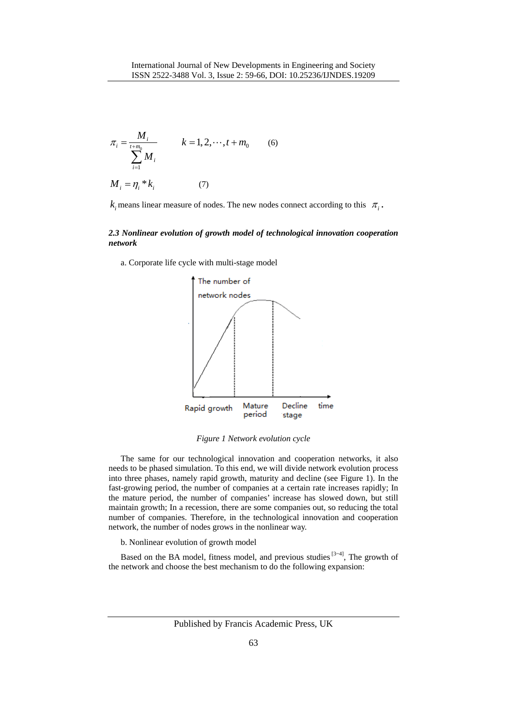$$
\pi_{i} = \frac{M_{i}}{\sum_{i=1}^{t+m_{0}} M_{i}} \qquad k = 1, 2, \dots, t+m_{0} \qquad (6)
$$
  

$$
M_{i} = \eta_{i} * k_{i} \qquad (7)
$$

 $k_i$  means linear measure of nodes. The new nodes connect according to this  $\pi_i$ .

#### *2.3 Nonlinear evolution of growth model of technological innovation cooperation network*

a. Corporate life cycle with multi-stage model



*Figure 1 Network evolution cycle*

The same for our technological innovation and cooperation networks, it also needs to be phased simulation. To this end, we will divide network evolution process into three phases, namely rapid growth, maturity and decline (see Figure 1). In the fast-growing period, the number of companies at a certain rate increases rapidly; In the mature period, the number of companies' increase has slowed down, but still maintain growth; In a recession, there are some companies out, so reducing the total number of companies. Therefore, in the technological innovation and cooperation network, the number of nodes grows in the nonlinear way.

b. Nonlinear evolution of growth model

Based on the BA model, fitness model, and previous studies  $[3-4]$ , The growth of the network and choose the best mechanism to do the following expansion:

Published by Francis Academic Press, UK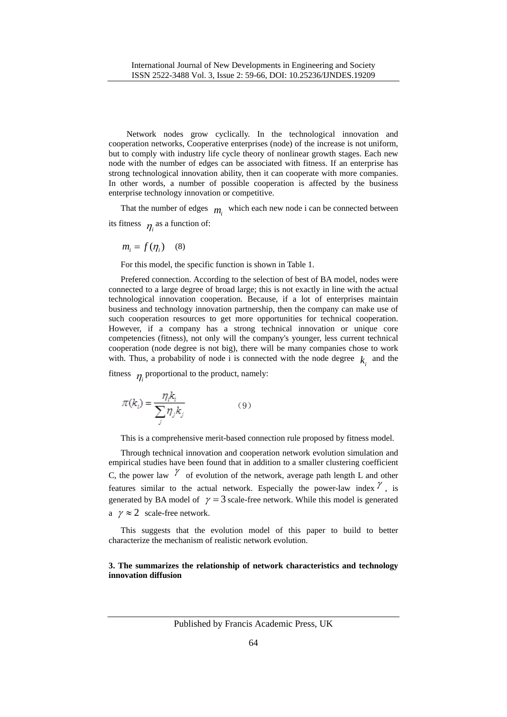Network nodes grow cyclically. In the technological innovation and cooperation networks, Cooperative enterprises (node) of the increase is not uniform, but to comply with industry life cycle theory of nonlinear growth stages. Each new node with the number of edges can be associated with fitness. If an enterprise has strong technological innovation ability, then it can cooperate with more companies. In other words, a number of possible cooperation is affected by the business enterprise technology innovation or competitive.

That the number of edges  $m_i$  which each new node i can be connected between its fitness  $\eta_i$  as a function of:

 $m_i = f(\eta_i)$  (8)

For this model, the specific function is shown in Table 1.

Prefered connection. According to the selection of best of BA model, nodes were connected to a large degree of broad large; this is not exactly in line with the actual technological innovation cooperation. Because, if a lot of enterprises maintain business and technology innovation partnership, then the company can make use of such cooperation resources to get more opportunities for technical cooperation. However, if a company has a strong technical innovation or unique core competencies (fitness), not only will the company's younger, less current technical cooperation (node degree is not big), there will be many companies chose to work with. Thus, a probability of node i is connected with the node degree  $k_i$  and the

fitness  $\eta_i$  proportional to the product, namely:

$$
\pi(k_i) = \frac{\eta_i k_i}{\sum_i \eta_j k_j} \tag{9}
$$

This is a comprehensive merit-based connection rule proposed by fitness model.

Through technical innovation and cooperation network evolution simulation and empirical studies have been found that in addition to a smaller clustering coefficient C, the power law  $\gamma$  of evolution of the network, average path length L and other features similar to the actual network. Especially the power-law index  $\gamma$ , is generated by BA model of  $\gamma = 3$  scale-free network. While this model is generated a  $\gamma \approx 2$  scale-free network.

This suggests that the evolution model of this paper to build to better characterize the mechanism of realistic network evolution.

#### **3. The summarizes the relationship of network characteristics and technology innovation diffusion**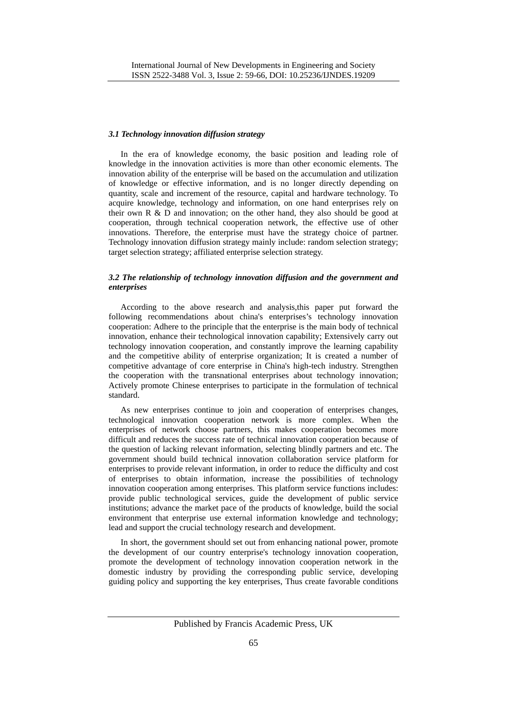#### *3.1 Technology innovation diffusion strategy*

In the era of knowledge economy, the basic position and leading role of knowledge in the innovation activities is more than other economic elements. The innovation ability of the enterprise will be based on the accumulation and utilization of knowledge or effective information, and is no longer directly depending on quantity, scale and increment of the resource, capital and hardware technology. To acquire knowledge, technology and information, on one hand enterprises rely on their own R & D and innovation; on the other hand, they also should be good at cooperation, through technical cooperation network, the effective use of other innovations. Therefore, the enterprise must have the strategy choice of partner. Technology innovation diffusion strategy mainly include: random selection strategy; target selection strategy; affiliated enterprise selection strategy.

#### *3.2 The relationship of technology innovation diffusion and the government and enterprises*

According to the above research and analysis,this paper put forward the following recommendations about china's enterprises's technology innovation cooperation: Adhere to the principle that the enterprise is the main body of technical innovation, enhance their technological innovation capability; Extensively carry out technology innovation cooperation, and constantly improve the learning capability and the competitive ability of enterprise organization; It is created a number of competitive advantage of core enterprise in China's high-tech industry. Strengthen the cooperation with the transnational enterprises about technology innovation; Actively promote Chinese enterprises to participate in the formulation of technical standard.

As new enterprises continue to join and cooperation of enterprises changes, technological innovation cooperation network is more complex. When the enterprises of network choose partners, this makes cooperation becomes more difficult and reduces the success rate of technical innovation cooperation because of the question of lacking relevant information, selecting blindly partners and etc. The government should build technical innovation collaboration service platform for enterprises to provide relevant information, in order to reduce the difficulty and cost of enterprises to obtain information, increase the possibilities of technology innovation cooperation among enterprises. This platform service functions includes: provide public technological services, guide the development of public service institutions; advance the market pace of the products of knowledge, build the social environment that enterprise use external information knowledge and technology; lead and support the crucial technology research and development.

In short, the government should set out from enhancing national power, promote the development of our country enterprise's technology innovation cooperation, promote the development of technology innovation cooperation network in the domestic industry by providing the corresponding public service, developing guiding policy and supporting the key enterprises, Thus create favorable conditions

Published by Francis Academic Press, UK